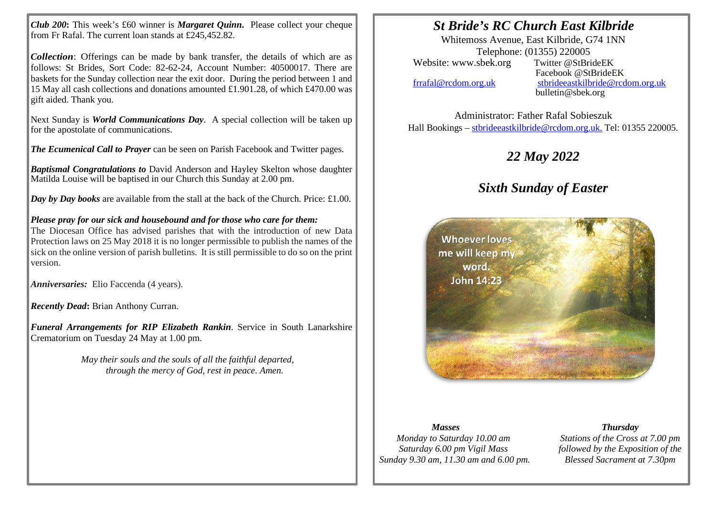*Club 200***:** This week's £60 winner is *Margaret Quinn***.** Please collect your cheque from Fr Rafal. The current loan stands at £245,452.82.

*Collection*: Offerings can be made by bank transfer, the details of which are as follows: St Brides, Sort Code: 82-62-24, Account Number: 40500017. There are baskets for the Sunday collection near the exit door. During the period between 1 and 15 May all cash collections and donations amounted £1.901.28, of which £470.00 was gift aided. Thank you.

Next Sunday is *World Communications Day*. A special collection will be taken up for the apostolate of communications.

*The Ecumenical Call to Prayer* can be seen on Parish Facebook and Twitter pages.

*Baptismal Congratulations to* David Anderson and Hayley Skelton whose daughter Matilda Louise will be baptised in our Church this Sunday at 2.00 pm.

*Day by Day books* are available from the stall at the back of the Church. Price: £1.00.

*Please pray for our sick and housebound and for those who care for them:*

The Diocesan Office has advised parishes that with the introduction of new Data Protection laws on 25 May 2018 it is no longer permissible to publish the names of the sick on the online version of parish bulletins. It is still permissible to do so on the print version.

*Anniversaries:* Elio Faccenda (4 years).

*Recently Dead***:** Brian Anthony Curran.

*Funeral Arrangements for RIP Elizabeth Rankin*. Service in South Lanarkshire Crematorium on Tuesday 24 May at 1.00 pm.

> *May their souls and the souls of all the faithful departed, through the mercy of God, rest in peace. Amen.*

### *St Bride's RC Church East Kilbride*

Whitemoss Avenue, East Kilbride, G74 1NN Telephone: (01355) 220005<br>sbek.org Twitter @StBrideEK Website: www.sbek.org

I I

> Facebook @StBrideEK [frrafal@rcdom.org.uk](mailto:frrafal@rcdom.org.uk) [stbrideeastkilbride@rcdom.org.uk](mailto:stbrideeastkilbride@rcdom.org.uk)  bulletin@sbek.org

Administrator: Father Rafal Sobieszuk Hall Bookings – [stbrideeastkilbride@rcdom.org.uk.](mailto:stbrideeastkilbride@rcdom.org.uk) Tel: 01355 220005.

# *22 May 2022*

# *Sixth Sunday of Easter*



#### *Masses*

*Monday to Saturday 10.00 am Saturday 6.00 pm Vigil Mass Sunday 9.30 am, 11.30 am and 6.00 pm.*

*Thursday Stations of the Cross at 7.00 pm followed by the Exposition of the* 

*Blessed Sacrament at 7.30pm*